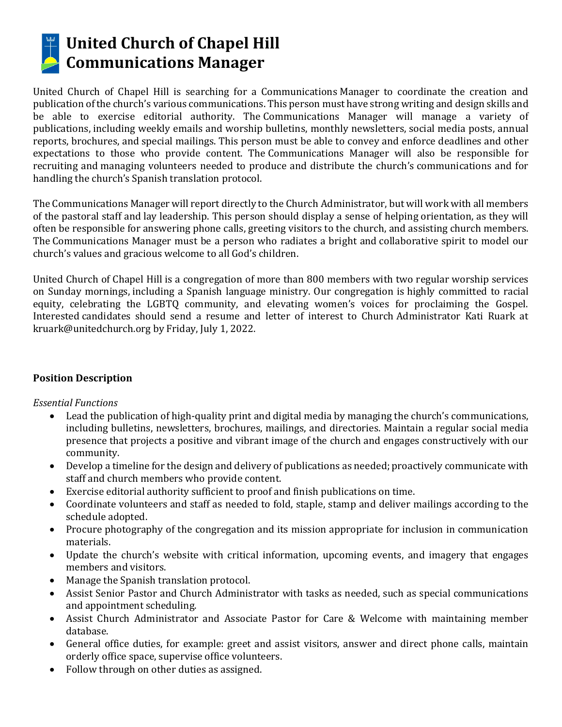

# **United Church of Chapel Hill Communications Manager**

United Church of Chapel Hill is searching for a Communications Manager to coordinate the creation and publication of the church's various communications. This person must have strong writing and design skills and be able to exercise editorial authority. The Communications Manager will manage a variety of publications, including weekly emails and worship bulletins, monthly newsletters, social media posts, annual reports, brochures, and special mailings. This person must be able to convey and enforce deadlines and other expectations to those who provide content. The Communications Manager will also be responsible for recruiting and managing volunteers needed to produce and distribute the church's communications and for handling the church's Spanish translation protocol.

The Communications Manager will report directly to the Church Administrator, but will work with all members of the pastoral staff and lay leadership. This person should display a sense of helping orientation, as they will often be responsible for answering phone calls, greeting visitors to the church, and assisting church members. The Communications Manager must be a person who radiates a bright and collaborative spirit to model our church's values and gracious welcome to all God's children.

United Church of Chapel Hill is a congregation of more than 800 members with two regular worship services on Sunday mornings, including a Spanish language ministry. Our congregation is highly committed to racial equity, celebrating the LGBTQ community, and elevating women's voices for proclaiming the Gospel. Interested candidates should send a resume and letter of interest to Church Administrator Kati Ruark at kruark@unitedchurch.org by Friday, July 1, 2022.

#### **Position Description**

#### *Essential Functions*

- Lead the publication of high-quality print and digital media by managing the church's communications, including bulletins, newsletters, brochures, mailings, and directories. Maintain a regular social media presence that projects a positive and vibrant image of the church and engages constructively with our community.
- Develop a timeline for the design and delivery of publications as needed; proactively communicate with staff and church members who provide content.
- Exercise editorial authority sufficient to proof and finish publications on time.
- Coordinate volunteers and staff as needed to fold, staple, stamp and deliver mailings according to the schedule adopted.
- Procure photography of the congregation and its mission appropriate for inclusion in communication materials.
- Update the church's website with critical information, upcoming events, and imagery that engages members and visitors.
- Manage the Spanish translation protocol.
- Assist Senior Pastor and Church Administrator with tasks as needed, such as special communications and appointment scheduling.
- Assist Church Administrator and Associate Pastor for Care & Welcome with maintaining member database.
- General office duties, for example: greet and assist visitors, answer and direct phone calls, maintain orderly office space, supervise office volunteers.
- Follow through on other duties as assigned.